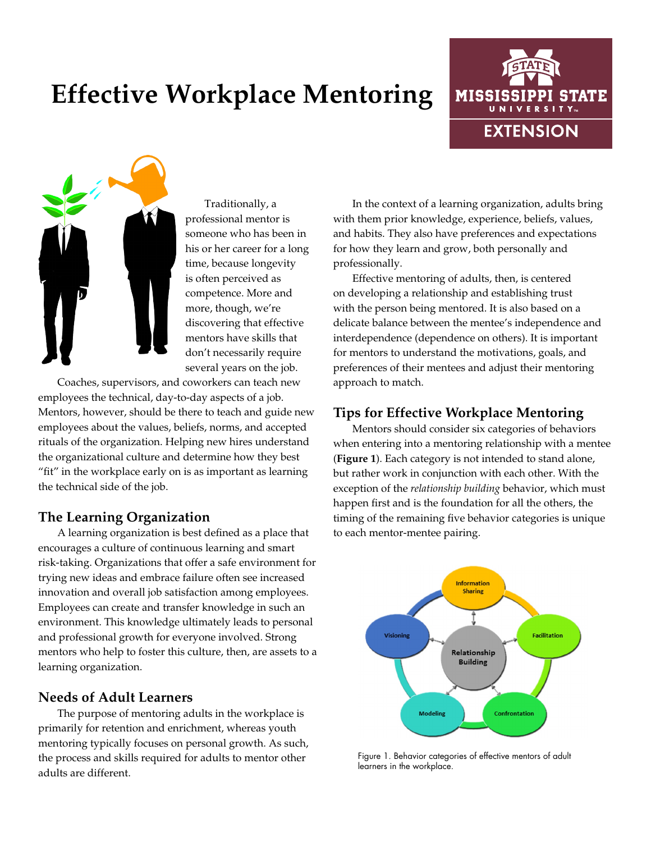# **Effective Workplace Mentoring**





Traditionally, a professional mentor is someone who has been in his or her career for a long time, because longevity is often perceived as competence. More and more, though, we're discovering that effective mentors have skills that don't necessarily require several years on the job.

Coaches, supervisors, and coworkers can teach new employees the technical, day-to-day aspects of a job. Mentors, however, should be there to teach and guide new employees about the values, beliefs, norms, and accepted rituals of the organization. Helping new hires understand the organizational culture and determine how they best "fit" in the workplace early on is as important as learning the technical side of the job.

# **The Learning Organization**

A learning organization is best defined as a place that encourages a culture of continuous learning and smart risk-taking. Organizations that offer a safe environment for trying new ideas and embrace failure often see increased innovation and overall job satisfaction among employees. Employees can create and transfer knowledge in such an environment. This knowledge ultimately leads to personal and professional growth for everyone involved. Strong mentors who help to foster this culture, then, are assets to a learning organization.

# **Needs of Adult Learners**

The purpose of mentoring adults in the workplace is primarily for retention and enrichment, whereas youth mentoring typically focuses on personal growth. As such, the process and skills required for adults to mentor other adults are different.

In the context of a learning organization, adults bring with them prior knowledge, experience, beliefs, values, and habits. They also have preferences and expectations for how they learn and grow, both personally and professionally.

Effective mentoring of adults, then, is centered on developing a relationship and establishing trust with the person being mentored. It is also based on a delicate balance between the mentee's independence and interdependence (dependence on others). It is important for mentors to understand the motivations, goals, and preferences of their mentees and adjust their mentoring approach to match.

# **Tips for Effective Workplace Mentoring**

Mentors should consider six categories of behaviors when entering into a mentoring relationship with a mentee (**Figure 1**). Each category is not intended to stand alone, but rather work in conjunction with each other. With the exception of the *relationship building* behavior, which must happen first and is the foundation for all the others, the timing of the remaining five behavior categories is unique to each mentor-mentee pairing.



Figure 1. Behavior categories of effective mentors of adult learners in the workplace.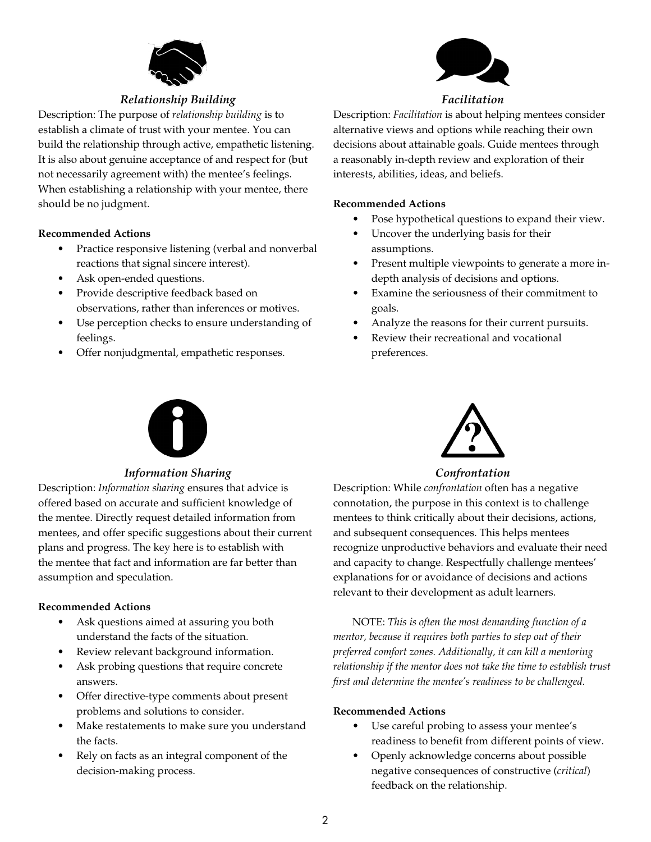

## *Relationship Building*

Description: The purpose of *relationship building* is to establish a climate of trust with your mentee. You can build the relationship through active, empathetic listening. It is also about genuine acceptance of and respect for (but not necessarily agreement with) the mentee's feelings. When establishing a relationship with your mentee, there should be no judgment.

#### **Recommended Actions**

- Practice responsive listening (verbal and nonverbal reactions that signal sincere interest).
- Ask open-ended questions.
- Provide descriptive feedback based on observations, rather than inferences or motives.
- Use perception checks to ensure understanding of feelings.
- Offer nonjudgmental, empathetic responses.



## *Facilitation*

Description: *Facilitation* is about helping mentees consider alternative views and options while reaching their own decisions about attainable goals. Guide mentees through a reasonably in-depth review and exploration of their interests, abilities, ideas, and beliefs.

#### **Recommended Actions**

- Pose hypothetical questions to expand their view.
- Uncover the underlying basis for their assumptions.
- Present multiple viewpoints to generate a more indepth analysis of decisions and options.
- Examine the seriousness of their commitment to goals.
- Analyze the reasons for their current pursuits.
- Review their recreational and vocational preferences.



#### *Information Sharing*

Description: *Information sharing* ensures that advice is offered based on accurate and sufficient knowledge of the mentee. Directly request detailed information from mentees, and offer specific suggestions about their current plans and progress. The key here is to establish with the mentee that fact and information are far better than assumption and speculation.

#### **Recommended Actions**

- Ask questions aimed at assuring you both understand the facts of the situation.
- Review relevant background information.
- Ask probing questions that require concrete answers.
- Offer directive-type comments about present problems and solutions to consider.
- Make restatements to make sure you understand the facts.
- Rely on facts as an integral component of the decision-making process.



*Confrontation*

Description: While *confrontation* often has a negative connotation, the purpose in this context is to challenge mentees to think critically about their decisions, actions, and subsequent consequences. This helps mentees recognize unproductive behaviors and evaluate their need and capacity to change. Respectfully challenge mentees' explanations for or avoidance of decisions and actions relevant to their development as adult learners.

NOTE: *This is often the most demanding function of a mentor, because it requires both parties to step out of their preferred comfort zones. Additionally, it can kill a mentoring relationship if the mentor does not take the time to establish trust first and determine the mentee's readiness to be challenged.*

#### **Recommended Actions**

- Use careful probing to assess your mentee's readiness to benefit from different points of view.
- Openly acknowledge concerns about possible negative consequences of constructive (*critical*) feedback on the relationship.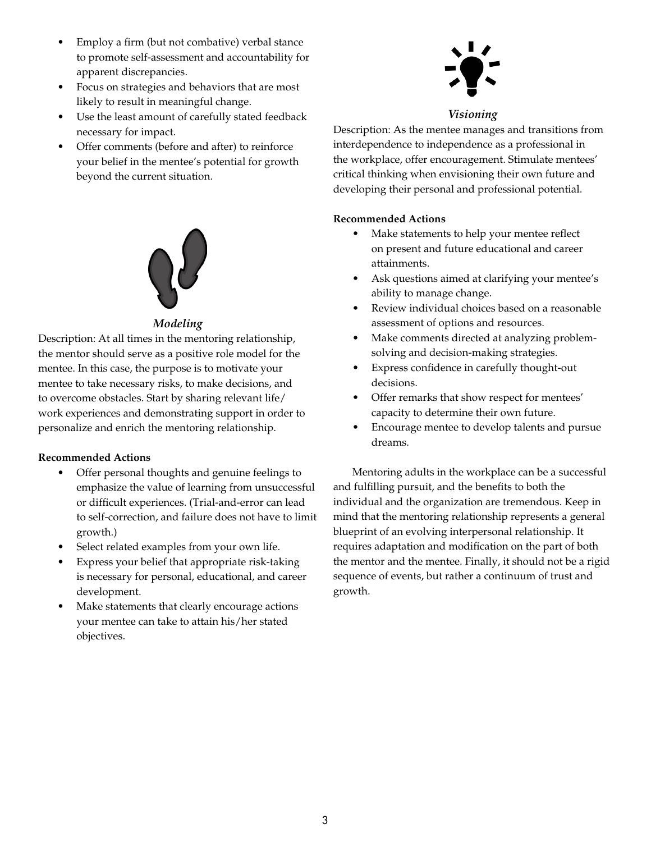- Employ a firm (but not combative) verbal stance to promote self-assessment and accountability for apparent discrepancies.
- Focus on strategies and behaviors that are most likely to result in meaningful change.
- Use the least amount of carefully stated feedback necessary for impact.
- Offer comments (before and after) to reinforce your belief in the mentee's potential for growth beyond the current situation.



## *Modeling*

Description: At all times in the mentoring relationship, the mentor should serve as a positive role model for the mentee. In this case, the purpose is to motivate your mentee to take necessary risks, to make decisions, and to overcome obstacles. Start by sharing relevant life/ work experiences and demonstrating support in order to personalize and enrich the mentoring relationship.

## **Recommended Actions**

- Offer personal thoughts and genuine feelings to emphasize the value of learning from unsuccessful or difficult experiences. (Trial-and-error can lead to self-correction, and failure does not have to limit growth.)
- Select related examples from your own life.
- Express your belief that appropriate risk-taking is necessary for personal, educational, and career development.
- Make statements that clearly encourage actions your mentee can take to attain his/her stated objectives.



#### *Visioning*

Description: As the mentee manages and transitions from interdependence to independence as a professional in the workplace, offer encouragement. Stimulate mentees' critical thinking when envisioning their own future and developing their personal and professional potential.

#### **Recommended Actions**

- Make statements to help your mentee reflect on present and future educational and career attainments.
- Ask questions aimed at clarifying your mentee's ability to manage change.
- Review individual choices based on a reasonable assessment of options and resources.
- Make comments directed at analyzing problemsolving and decision-making strategies.
- Express confidence in carefully thought-out decisions.
- Offer remarks that show respect for mentees' capacity to determine their own future.
- Encourage mentee to develop talents and pursue dreams.

Mentoring adults in the workplace can be a successful and fulfilling pursuit, and the benefits to both the individual and the organization are tremendous. Keep in mind that the mentoring relationship represents a general blueprint of an evolving interpersonal relationship. It requires adaptation and modification on the part of both the mentor and the mentee. Finally, it should not be a rigid sequence of events, but rather a continuum of trust and growth.